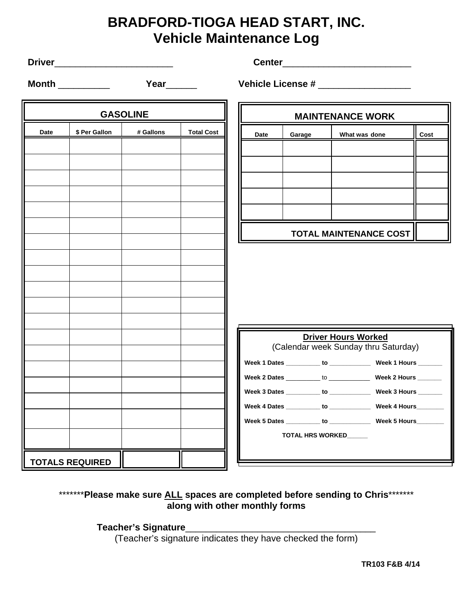## **BRADFORD-TIOGA HEAD START, INC. Vehicle Maintenance Log**

**Driver**\_\_\_\_\_\_\_\_\_\_\_\_\_\_\_\_\_\_\_\_\_\_\_ **Center**\_\_\_\_\_\_\_\_\_\_\_\_\_\_\_\_\_\_\_\_\_\_\_\_\_

**Month** \_\_\_\_\_\_\_\_\_\_\_ **Year**\_\_\_\_\_\_ **Vehicle License #** \_\_\_\_\_\_\_\_\_\_\_\_\_\_\_\_

| <b>GASOLINE</b><br>\$ Per Gallon<br># Gallons<br><b>Total Cost</b><br>Date | <b>MAINTENANCE WORK</b><br><b>Date</b><br>Garage |  |  |  |  |  |
|----------------------------------------------------------------------------|--------------------------------------------------|--|--|--|--|--|
|                                                                            |                                                  |  |  |  |  |  |
|                                                                            |                                                  |  |  |  |  |  |
|                                                                            |                                                  |  |  |  |  |  |
|                                                                            |                                                  |  |  |  |  |  |
|                                                                            |                                                  |  |  |  |  |  |
|                                                                            |                                                  |  |  |  |  |  |
|                                                                            |                                                  |  |  |  |  |  |
|                                                                            | <b>TOTAL MAINTENANCE COST</b>                    |  |  |  |  |  |
|                                                                            |                                                  |  |  |  |  |  |
|                                                                            |                                                  |  |  |  |  |  |
|                                                                            |                                                  |  |  |  |  |  |
|                                                                            |                                                  |  |  |  |  |  |
|                                                                            |                                                  |  |  |  |  |  |
|                                                                            |                                                  |  |  |  |  |  |
|                                                                            | <b>Driver Hours Worked</b>                       |  |  |  |  |  |
|                                                                            | (Calendar week Sunday thru Saturday)             |  |  |  |  |  |
| Week 1 Dates _________ to ______________ Week 1 Hours ______               |                                                  |  |  |  |  |  |
|                                                                            |                                                  |  |  |  |  |  |
| Week 3 Dates __________ to ______________ Week 3 Hours ______              |                                                  |  |  |  |  |  |
| Week 4 Dates _________ to _____________ Week 4 Hours________               |                                                  |  |  |  |  |  |
| Week 5 Dates ________ to _______________ Week 5 Hours______                |                                                  |  |  |  |  |  |
| TOTAL HRS WORKED_____                                                      |                                                  |  |  |  |  |  |
| <b>TOTALS REQUIRED</b>                                                     |                                                  |  |  |  |  |  |

## \*\*\*\*\*\*\*\***Please make sure ALL spaces are completed before sending to Chris\*\*\*\*\*\*\* along with other monthly forms**

**Teacher's Signature**\_\_\_\_\_\_\_\_\_\_\_\_\_\_\_\_\_\_\_\_\_\_\_\_\_\_\_\_\_\_\_\_\_\_\_\_\_

(Teacher's signature indicates they have checked the form)